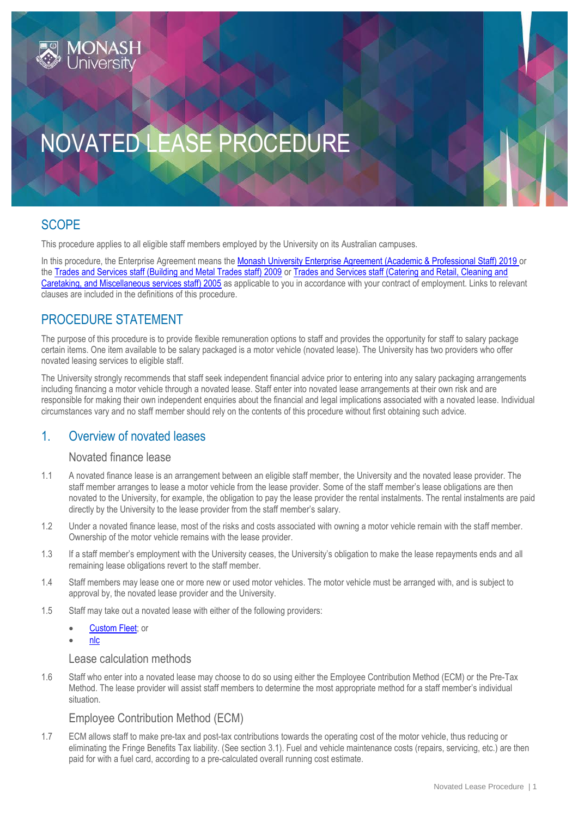

# NOVATED LEASE PROCEDURE

# **SCOPE**

This procedure applies to all eligible staff members employed by the University on its Australian campuses.

In this procedure, the Enterprise Agreement means the [Monash University Enterprise Agreement \(Academic & Professional Staff\) 2019](https://www.monash.edu/current-enterprise-agreements/academic-professional-2019) or the [Trades and Services staff \(Building and Metal Trades staff\) 2009](https://www.monash.edu/current-enterprise-agreements/trades-services-bmt-2009) or [Trades and Services staff \(Catering and Retail, Cleaning and](https://www.monash.edu/current-enterprise-agreements/trades-services-crccm-2005)  [Caretaking, and Miscellaneous services staff\) 2005](https://www.monash.edu/current-enterprise-agreements/trades-services-crccm-2005) as applicable to you in accordance with your contract of employment. Links to relevant clauses are included in the definitions of this procedure.

# PROCEDURE STATEMENT

The purpose of this procedure is to provide flexible remuneration options to staff and provides the opportunity for staff to salary package certain items. One item available to be salary packaged is a motor vehicle (novated lease). The University has two providers who offer novated leasing services to eligible staff.

The University strongly recommends that staff seek independent financial advice prior to entering into any salary packaging arrangements including financing a motor vehicle through a novated lease. Staff enter into novated lease arrangements at their own risk and are responsible for making their own independent enquiries about the financial and legal implications associated with a novated lease. Individual circumstances vary and no staff member should rely on the contents of this procedure without first obtaining such advice.

# 1. Overview of novated leases

## Novated finance lease

- 1.1 A novated finance lease is an arrangement between an eligible staff member, the University and the novated lease provider. The staff member arranges to lease a motor vehicle from the lease provider. Some of the staff member's lease obligations are then novated to the University, for example, the obligation to pay the lease provider the rental instalments. The rental instalments are paid directly by the University to the lease provider from the staff member's salary.
- 1.2 Under a novated finance lease, most of the risks and costs associated with owning a motor vehicle remain with the staff member. Ownership of the motor vehicle remains with the lease provider.
- 1.3 If a staff member's employment with the University ceases, the University's obligation to make the lease repayments ends and all remaining lease obligations revert to the staff member.
- 1.4 Staff members may lease one or more new or used motor vehicles. The motor vehicle must be arranged with, and is subject to approval by, the novated lease provider and the University.
- 1.5 Staff may take out a novated lease with either of the following providers:
	- [Custom Fleet;](http://drive.customfleet.com.au/) or
	- [nlc](https://www.nlc.com.au/)

### Lease calculation methods

1.6 Staff who enter into a novated lease may choose to do so using either the Employee Contribution Method (ECM) or the Pre-Tax Method. The lease provider will assist staff members to determine the most appropriate method for a staff member's individual situation.

# Employee Contribution Method (ECM)

1.7 ECM allows staff to make pre-tax and post-tax contributions towards the operating cost of the motor vehicle, thus reducing or eliminating the Fringe Benefits Tax liability. (See section 3.1). Fuel and vehicle maintenance costs (repairs, servicing, etc.) are then paid for with a fuel card, according to a pre-calculated overall running cost estimate.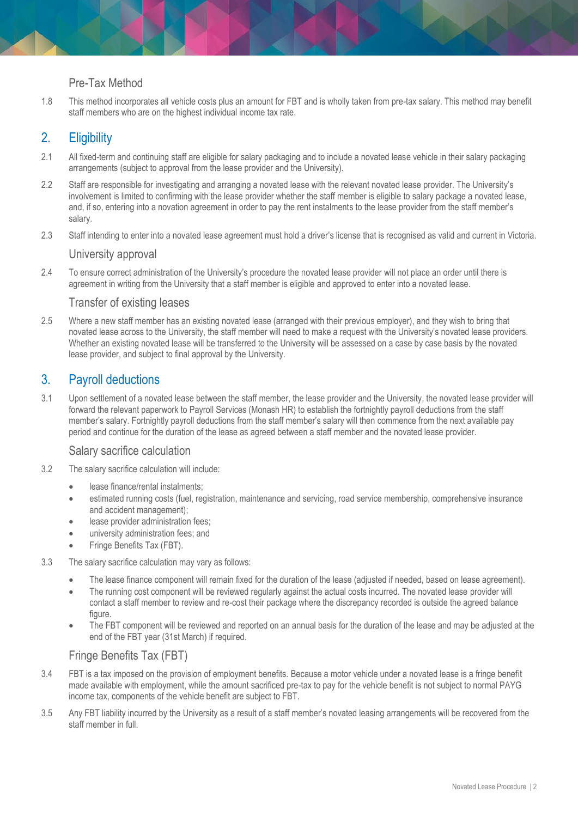# Pre-Tax Method

1.8 This method incorporates all vehicle costs plus an amount for FBT and is wholly taken from pre-tax salary. This method may benefit staff members who are on the highest individual income tax rate.

# 2. Eligibility

- 2.1 All fixed-term and continuing staff are eligible for salary packaging and to include a novated lease vehicle in their salary packaging arrangements (subject to approval from the lease provider and the University).
- 2.2 Staff are responsible for investigating and arranging a novated lease with the relevant novated lease provider. The University's involvement is limited to confirming with the lease provider whether the staff member is eligible to salary package a novated lease, and, if so, entering into a novation agreement in order to pay the rent instalments to the lease provider from the staff member's salary.
- 2.3 Staff intending to enter into a novated lease agreement must hold a driver's license that is recognised as valid and current in Victoria.

#### University approval

2.4 To ensure correct administration of the University's procedure the novated lease provider will not place an order until there is agreement in writing from the University that a staff member is eligible and approved to enter into a novated lease.

#### Transfer of existing leases

2.5 Where a new staff member has an existing novated lease (arranged with their previous employer), and they wish to bring that novated lease across to the University, the staff member will need to make a request with the University's novated lease providers. Whether an existing novated lease will be transferred to the University will be assessed on a case by case basis by the novated lease provider, and subject to final approval by the University.

# 3. Payroll deductions

3.1 Upon settlement of a novated lease between the staff member, the lease provider and the University, the novated lease provider will forward the relevant paperwork to Payroll Services (Monash HR) to establish the fortnightly payroll deductions from the staff member's salary. Fortnightly payroll deductions from the staff member's salary will then commence from the next available pay period and continue for the duration of the lease as agreed between a staff member and the novated lease provider.

#### Salary sacrifice calculation

- 3.2 The salary sacrifice calculation will include:
	- **•** lease finance/rental instalments:
	- estimated running costs (fuel, registration, maintenance and servicing, road service membership, comprehensive insurance and accident management);
	- **•** lease provider administration fees;
	- **•** university administration fees; and
	- Fringe Benefits Tax (FBT).
- 3.3 The salary sacrifice calculation may vary as follows:
	- The lease finance component will remain fixed for the duration of the lease (adjusted if needed, based on lease agreement).
	- The running cost component will be reviewed regularly against the actual costs incurred. The novated lease provider will contact a staff member to review and re-cost their package where the discrepancy recorded is outside the agreed balance figure.
	- The FBT component will be reviewed and reported on an annual basis for the duration of the lease and may be adjusted at the end of the FBT year (31st March) if required.

## Fringe Benefits Tax (FBT)

- 3.4 FBT is a tax imposed on the provision of employment benefits. Because a motor vehicle under a novated lease is a fringe benefit made available with employment, while the amount sacrificed pre-tax to pay for the vehicle benefit is not subject to normal PAYG income tax, components of the vehicle benefit are subject to FBT.
- 3.5 Any FBT liability incurred by the University as a result of a staff member's novated leasing arrangements will be recovered from the staff member in full.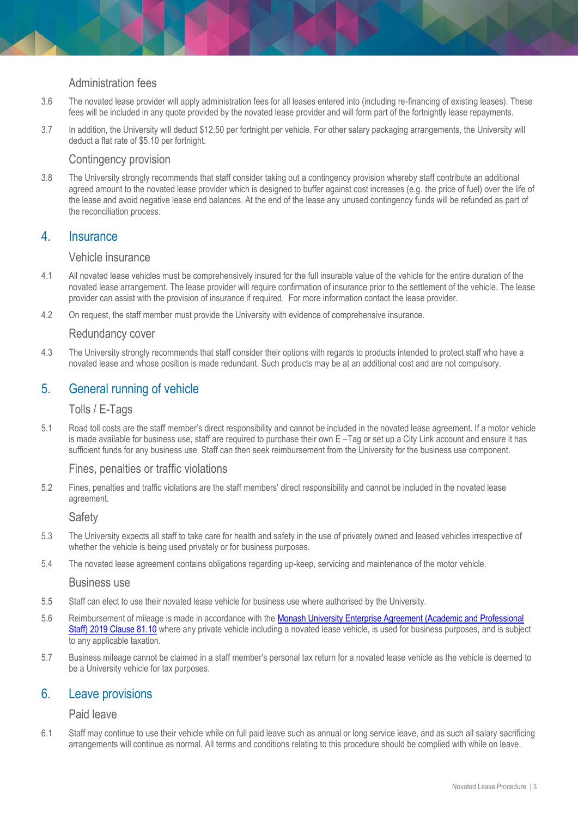## Administration fees

- 3.6 The novated lease provider will apply administration fees for all leases entered into (including re-financing of existing leases). These fees will be included in any quote provided by the novated lease provider and will form part of the fortnightly lease repayments.
- 3.7 In addition, the University will deduct \$12.50 per fortnight per vehicle. For other salary packaging arrangements, the University will deduct a flat rate of \$5.10 per fortnight.

## Contingency provision

3.8 The University strongly recommends that staff consider taking out a contingency provision whereby staff contribute an additional agreed amount to the novated lease provider which is designed to buffer against cost increases (e.g. the price of fuel) over the life of the lease and avoid negative lease end balances. At the end of the lease any unused contingency funds will be refunded as part of the reconciliation process.

## 4. Insurance

#### Vehicle insurance

- 4.1 All novated lease vehicles must be comprehensively insured for the full insurable value of the vehicle for the entire duration of the novated lease arrangement. The lease provider will require confirmation of insurance prior to the settlement of the vehicle. The lease provider can assist with the provision of insurance if required. For more information contact the lease provider.
- 4.2 On request, the staff member must provide the University with evidence of comprehensive insurance.

#### Redundancy cover

4.3 The University strongly recommends that staff consider their options with regards to products intended to protect staff who have a novated lease and whose position is made redundant. Such products may be at an additional cost and are not compulsory.

# 5. General running of vehicle

#### Tolls / E-Tags

5.1 Road toll costs are the staff member's direct responsibility and cannot be included in the novated lease agreement. If a motor vehicle is made available for business use, staff are required to purchase their own E –Tag or set up a City Link account and ensure it has sufficient funds for any business use. Staff can then seek reimbursement from the University for the business use component.

#### Fines, penalties or traffic violations

5.2 Fines, penalties and traffic violations are the staff members' direct responsibility and cannot be included in the novated lease agreement.

#### **Safety**

- 5.3 The University expects all staff to take care for health and safety in the use of privately owned and leased vehicles irrespective of whether the vehicle is being used privately or for business purposes.
- 5.4 The novated lease agreement contains obligations regarding up-keep, servicing and maintenance of the motor vehicle.

#### Business use

- 5.5 Staff can elect to use their novated lease vehicle for business use where authorised by the University.
- 5.6 Reimbursement of mileage is made in accordance with the [Monash University Enterprise Agreement \(Academic and Professional](https://www.monash.edu/current-enterprise-agreements/academic-professional-2019#81)  Staff) 2019 [Clause 81.10](https://www.monash.edu/current-enterprise-agreements/academic-professional-2019#81) where any private vehicle including a novated lease vehicle, is used for business purposes, and is subject to any applicable taxation.
- 5.7 Business mileage cannot be claimed in a staff member's personal tax return for a novated lease vehicle as the vehicle is deemed to be a University vehicle for tax purposes.

# 6. Leave provisions

#### Paid leave

6.1 Staff may continue to use their vehicle while on full paid leave such as annual or long service leave, and as such all salary sacrificing arrangements will continue as normal. All terms and conditions relating to this procedure should be complied with while on leave.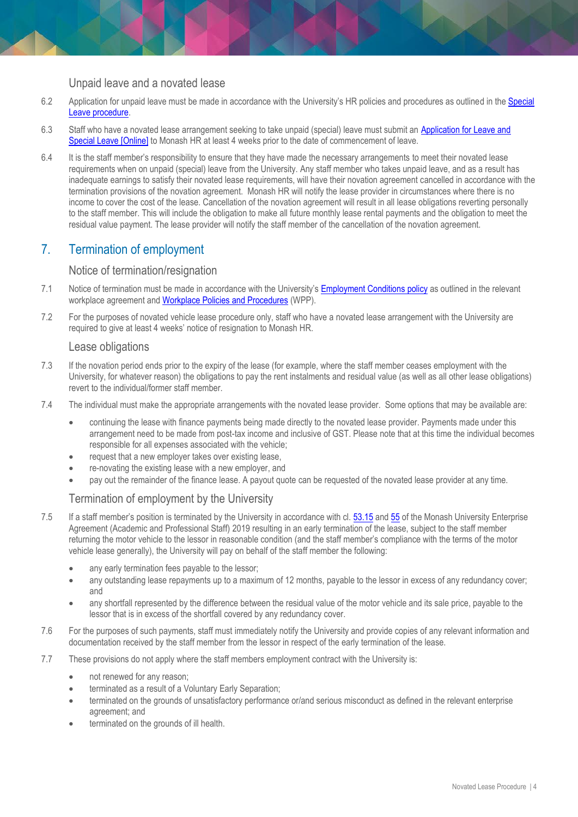#### Unpaid leave and a novated lease

- 6.2 Application for unpaid leave must be made in accordance with the University's HR policies and procedures as outlined in the [Special](https://publicpolicydms.monash.edu/Monash/documents/1935720)  [Leave procedure.](https://publicpolicydms.monash.edu/Monash/documents/1935720)
- 6.3 Staff who have a novated lease arrangement seeking to take unpaid (special) leave must submit an **Application for Leave and** [Special Leave \[Online\]](https://www.monash.edu/eforms-resources/frevvo-forms/hr/leave-request) to Monash HR at least 4 weeks prior to the date of commencement of leave.
- 6.4 It is the staff member's responsibility to ensure that they have made the necessary arrangements to meet their novated lease requirements when on unpaid (special) leave from the University. Any staff member who takes unpaid leave, and as a result has inadequate earnings to satisfy their novated lease requirements, will have their novation agreement cancelled in accordance with the termination provisions of the novation agreement. Monash HR will notify the lease provider in circumstances where there is no income to cover the cost of the lease. Cancellation of the novation agreement will result in all lease obligations reverting personally to the staff member. This will include the obligation to make all future monthly lease rental payments and the obligation to meet the residual value payment. The lease provider will notify the staff member of the cancellation of the novation agreement.

# 7. Termination of employment

#### Notice of termination/resignation

- 7.1 Notice of termination must be made in accordance with the University's [Employment Conditions](https://publicpolicydms.monash.edu/Monash/documents/1935678) policy as outlined in the relevant workplace agreement an[d Workplace Policies and Procedures](https://www.monash.edu/policy-bank/workplace-policy) (WPP).
- 7.2 For the purposes of novated vehicle lease procedure only, staff who have a novated lease arrangement with the University are required to give at least 4 weeks' notice of resignation to Monash HR.

#### Lease obligations

- 7.3 If the novation period ends prior to the expiry of the lease (for example, where the staff member ceases employment with the University, for whatever reason) the obligations to pay the rent instalments and residual value (as well as all other lease obligations) revert to the individual/former staff member.
- 7.4 The individual must make the appropriate arrangements with the novated lease provider. Some options that may be available are:
	- continuing the lease with finance payments being made directly to the novated lease provider. Payments made under this arrangement need to be made from post-tax income and inclusive of GST. Please note that at this time the individual becomes responsible for all expenses associated with the vehicle;
	- request that a new employer takes over existing lease,
	- re-novating the existing lease with a new employer, and
	- pay out the remainder of the finance lease. A payout quote can be requested of the novated lease provider at any time.

## Termination of employment by the University

- 7.5 If a staff member's position is terminated by the University in accordance with cl. [53.15](https://www.monash.edu/current-enterprise-agreements/academic-professional-2019#53) and [55](https://www.monash.edu/current-enterprise-agreements/academic-professional-2019#55) of the Monash University Enterprise Agreement (Academic and Professional Staff) 2019 resulting in an early termination of the lease, subject to the staff member returning the motor vehicle to the lessor in reasonable condition (and the staff member's compliance with the terms of the motor vehicle lease generally), the University will pay on behalf of the staff member the following:
	- any early termination fees payable to the lessor;
	- any outstanding lease repayments up to a maximum of 12 months, payable to the lessor in excess of any redundancy cover; and
	- any shortfall represented by the difference between the residual value of the motor vehicle and its sale price, payable to the lessor that is in excess of the shortfall covered by any redundancy cover.
- 7.6 For the purposes of such payments, staff must immediately notify the University and provide copies of any relevant information and documentation received by the staff member from the lessor in respect of the early termination of the lease.
- 7.7 These provisions do not apply where the staff members employment contract with the University is:
	- not renewed for any reason;
	- terminated as a result of a Voluntary Early Separation;
	- terminated on the grounds of unsatisfactory performance or/and serious misconduct as defined in the relevant enterprise agreement; and
	- terminated on the grounds of ill health.